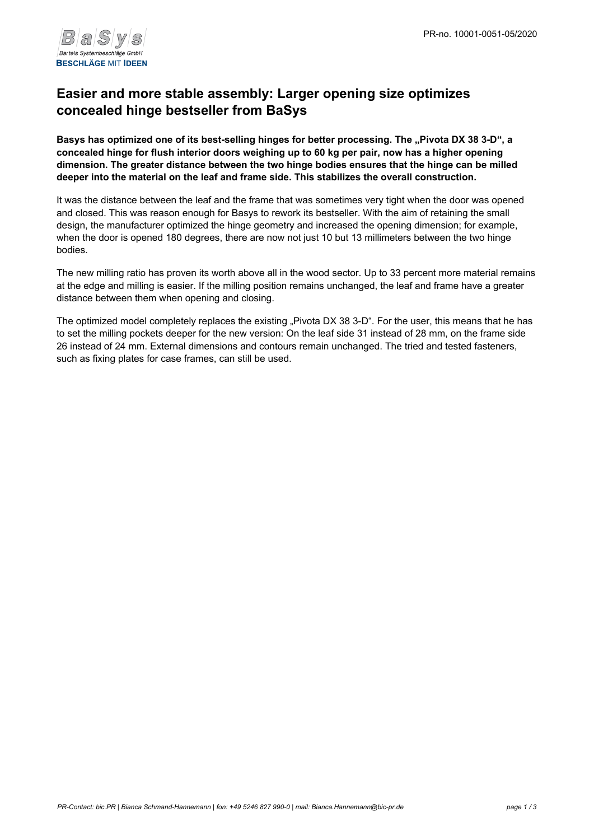

## **Easier and more stable assembly: Larger opening size optimizes concealed hinge bestseller from BaSys**

Basys has optimized one of its best-selling hinges for better processing. The "Pivota DX 38 3-D", a **concealed hinge for flush interior doors weighing up to 60 kg per pair, now has a higher opening dimension. The greater distance between the two hinge bodies ensures that the hinge can be milled deeper into the material on the leaf and frame side. This stabilizes the overall construction.**

It was the distance between the leaf and the frame that was sometimes very tight when the door was opened and closed. This was reason enough for Basys to rework its bestseller. With the aim of retaining the small design, the manufacturer optimized the hinge geometry and increased the opening dimension; for example, when the door is opened 180 degrees, there are now not just 10 but 13 millimeters between the two hinge bodies.

The new milling ratio has proven its worth above all in the wood sector. Up to 33 percent more material remains at the edge and milling is easier. If the milling position remains unchanged, the leaf and frame have a greater distance between them when opening and closing.

The optimized model completely replaces the existing "Pivota DX 38 3-D". For the user, this means that he has to set the milling pockets deeper for the new version: On the leaf side 31 instead of 28 mm, on the frame side 26 instead of 24 mm. External dimensions and contours remain unchanged. The tried and tested fasteners, such as fixing plates for case frames, can still be used.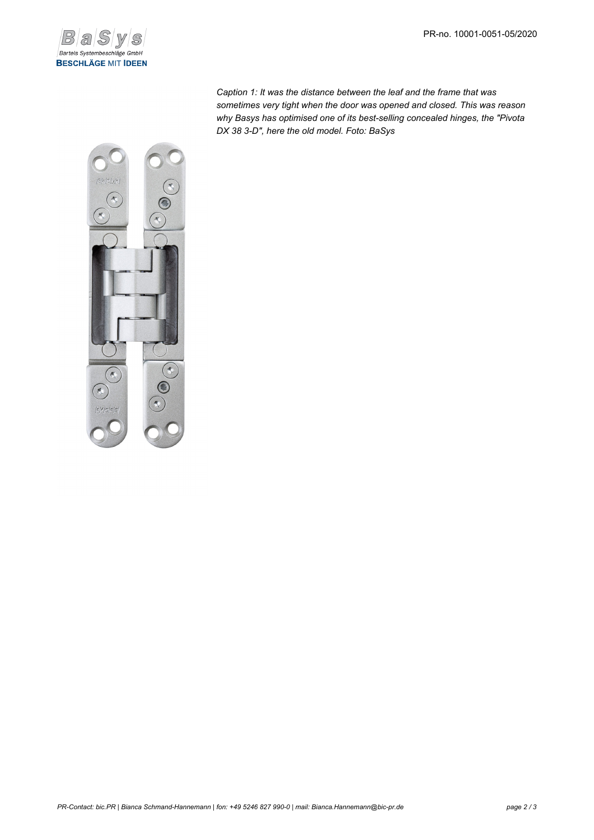

*Caption 1: It was the distance between the leaf and the frame that was sometimes very tight when the door was opened and closed. This was reason why Basys has optimised one of its best-selling concealed hinges, the "Pivota DX 38 3-D", here the old model. Foto: BaSys*